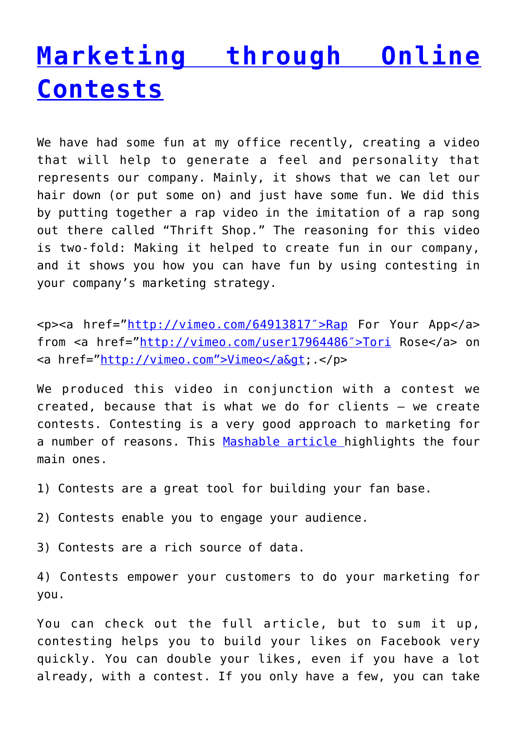### **[Marketing through Online](http://anentrepreneurialjourney.com/marketing-through-online-contests/) [Contests](http://anentrepreneurialjourney.com/marketing-through-online-contests/)**

We have had some fun at my office recently, creating a video that will help to generate a feel and personality that represents our company. Mainly, it shows that we can let our hair down (or put some on) and just have some fun. We did this by putting together a rap video in the imitation of a rap song out there called "Thrift Shop." The reasoning for this video is two-fold: Making it helped to create fun in our company, and it shows you how you can have fun by using contesting in your company's marketing strategy.

<p><a href="<http://vimeo.com/64913817″>Rap> For Your App</a> from <a href="http://vimeo.com/user17964486">Tori Rose</a> on <a href="http://vimeo.com">Vimeo</a&qt; </p>

We produced this video in conjunction with a contest we created, because that is what we do for clients – we create contests. Contesting is a very good approach to marketing for a number of reasons. This [Mashable article h](http://mashable.com/2011/07/21/contest-marketing/)ighlights the four main ones.

- 1) Contests are a great tool for building your fan base.
- 2) Contests enable you to engage your audience.
- 3) Contests are a rich source of data.

4) Contests empower your customers to do your marketing for you.

You can check out the full article, but to sum it up, contesting helps you to build your likes on Facebook very quickly. You can double your likes, even if you have a lot already, with a contest. If you only have a few, you can take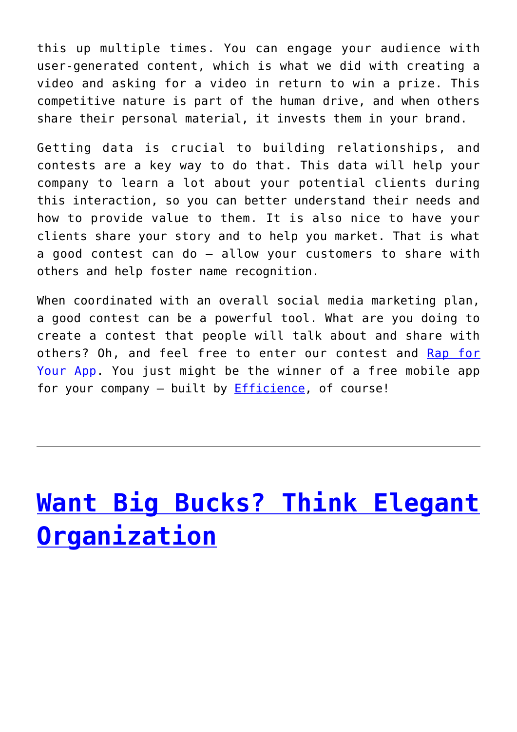this up multiple times. You can engage your audience with user-generated content, which is what we did with creating a video and asking for a video in return to win a prize. This competitive nature is part of the human drive, and when others share their personal material, it invests them in your brand.

Getting data is crucial to building relationships, and contests are a key way to do that. This data will help your company to learn a lot about your potential clients during this interaction, so you can better understand their needs and how to provide value to them. It is also nice to have your clients share your story and to help you market. That is what a good contest can do – allow your customers to share with others and help foster name recognition.

When coordinated with an overall social media marketing plan, a good contest can be a powerful tool. What are you doing to create a contest that people will talk about and share with others? Oh, and feel free to enter our contest and [Rap for](https://www.facebook.com/efficience/app_112813808737465) [Your App](https://www.facebook.com/efficience/app_112813808737465). You just might be the winner of a free mobile app for your company – built by [Efficience](http://efficience.us/), of course!

# **[Want Big Bucks? Think Elegant](http://anentrepreneurialjourney.com/want-big-bucks-think-elegant-organization/) [Organization](http://anentrepreneurialjourney.com/want-big-bucks-think-elegant-organization/)**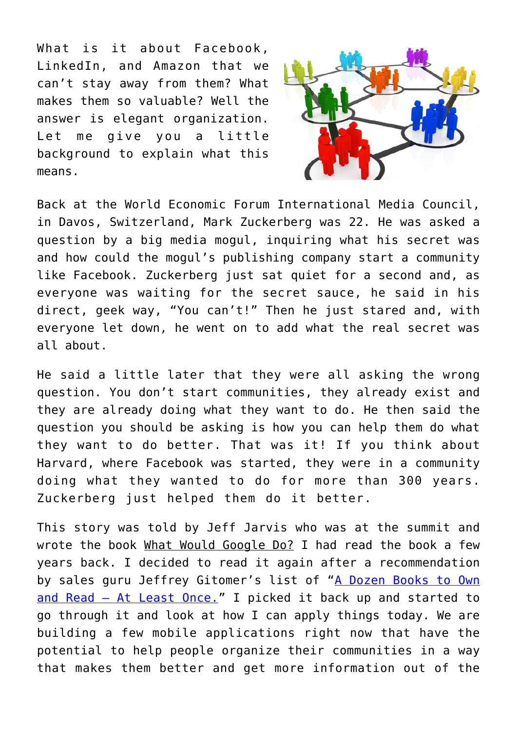What is it about Facebook, LinkedIn, and Amazon that we can't stay away from them? What makes them so valuable? Well the answer is elegant organization. Let me give you a little background to explain what this means.



Back at the World Economic Forum International Media Council, in Davos, Switzerland, Mark Zuckerberg was 22. He was asked a question by a big media mogul, inquiring what his secret was and how could the mogul's publishing company start a community like Facebook. Zuckerberg just sat quiet for a second and, as everyone was waiting for the secret sauce, he said in his direct, geek way, "You can't!" Then he just stared and, with everyone let down, he went on to add what the real secret was all about.

He said a little later that they were all asking the wrong question. You don't start communities, they already exist and they are already doing what they want to do. He then said the question you should be asking is how you can help them do what they want to do better. That was it! If you think about Harvard, where Facebook was started, they were in a community doing what they wanted to do for more than 300 years. Zuckerberg just helped them do it better.

This story was told by Jeff Jarvis who was at the summit and wrote the book What Would Google Do? I had read the book a few years back. I decided to read it again after a recommendation by sales guru Jeffrey Gitomer's list of ["A Dozen Books to Own](http://www.gitomer.com/articles/View.html?id=16254) [and Read – At Least Once."](http://www.gitomer.com/articles/View.html?id=16254) I picked it back up and started to go through it and look at how I can apply things today. We are building a few mobile applications right now that have the potential to help people organize their communities in a way that makes them better and get more information out of the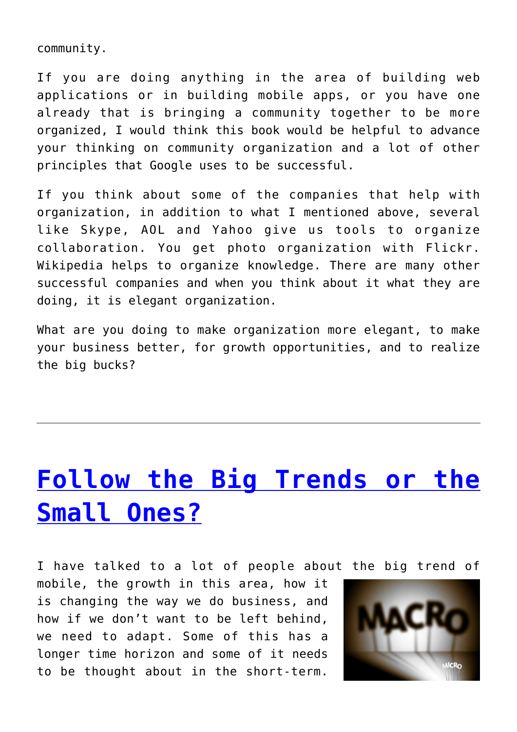community.

If you are doing anything in the area of building web applications or in building mobile apps, or you have one already that is bringing a community together to be more organized, I would think this book would be helpful to advance your thinking on community organization and a lot of other principles that Google uses to be successful.

If you think about some of the companies that help with organization, in addition to what I mentioned above, several like Skype, AOL and Yahoo give us tools to organize collaboration. You get photo organization with Flickr. Wikipedia helps to organize knowledge. There are many other successful companies and when you think about it what they are doing, it is elegant organization.

What are you doing to make organization more elegant, to make your business better, for growth opportunities, and to realize the big bucks?

# **[Follow the Big Trends or the](http://anentrepreneurialjourney.com/follow-the-big-trends-or-the-small-ones/) [Small Ones?](http://anentrepreneurialjourney.com/follow-the-big-trends-or-the-small-ones/)**

I have talked to a lot of people about the big trend of

mobile, the growth in this area, how it is changing the way we do business, and how if we don't want to be left behind, we need to adapt. Some of this has a longer time horizon and some of it needs to be thought about in the short-term.

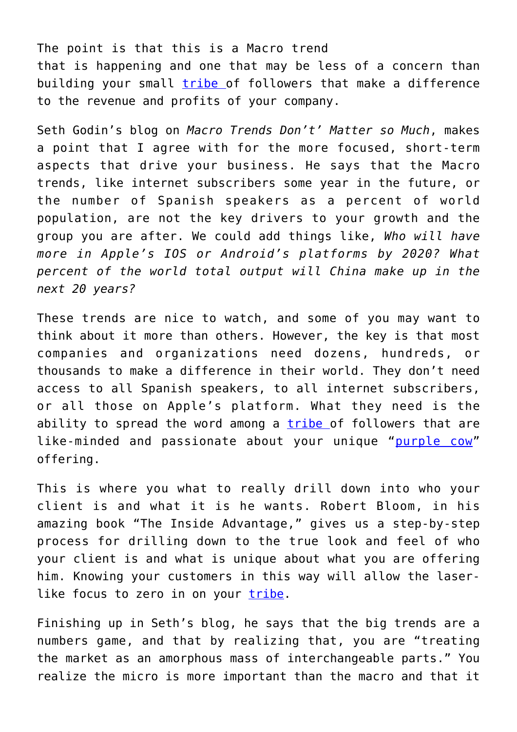The point is that this is a Macro trend that is happening and one that may be less of a concern than building your small [tribe](http://www.amazon.com/Tribes-We-Need-You-Lead/dp/1591842336/ref=sr_1_1?ie=UTF8&qid=1362869138&sr=8-1&keywords=seth+godin+tribe+book) of followers that make a difference to the revenue and profits of your company.

Seth Godin's blog on *Macro Trends Don't' Matter so Much*, makes a point that I agree with for the more focused, short-term aspects that drive your business. He says that the Macro trends, like internet subscribers some year in the future, or the number of Spanish speakers as a percent of world population, are not the key drivers to your growth and the group you are after. We could add things like, *Who will have more in Apple's IOS or Android's platforms by 2020? What percent of the world total output will China make up in the next 20 years?*

These trends are nice to watch, and some of you may want to think about it more than others. However, the key is that most companies and organizations need dozens, hundreds, or thousands to make a difference in their world. They don't need access to all Spanish speakers, to all internet subscribers, or all those on Apple's platform. What they need is the ability to spread the word among a [tribe](http://www.amazon.com/Tribes-We-Need-You-Lead/dp/1591842336/ref=sr_1_1?ie=UTF8&qid=1362869138&sr=8-1&keywords=seth+godin+tribe+book) of followers that are like-minded and passionate about your unique "[purple cow"](http://www.amazon.com/Purple-Cow-New-Transform-Remarkable/dp/1591843170/permissionmarket) offering.

This is where you what to really drill down into who your client is and what it is he wants. Robert Bloom, in his amazing book "The Inside Advantage," gives us a step-by-step process for drilling down to the true look and feel of who your client is and what is unique about what you are offering him. Knowing your customers in this way will allow the laserlike focus to zero in on your [tribe.](http://www.amazon.com/Tribes-We-Need-You-Lead/dp/1591842336/ref=sr_1_1?ie=UTF8&qid=1362869138&sr=8-1&keywords=seth+godin+tribe+book)

Finishing up in Seth's blog, he says that the big trends are a numbers game, and that by realizing that, you are "treating the market as an amorphous mass of interchangeable parts." You realize the micro is more important than the macro and that it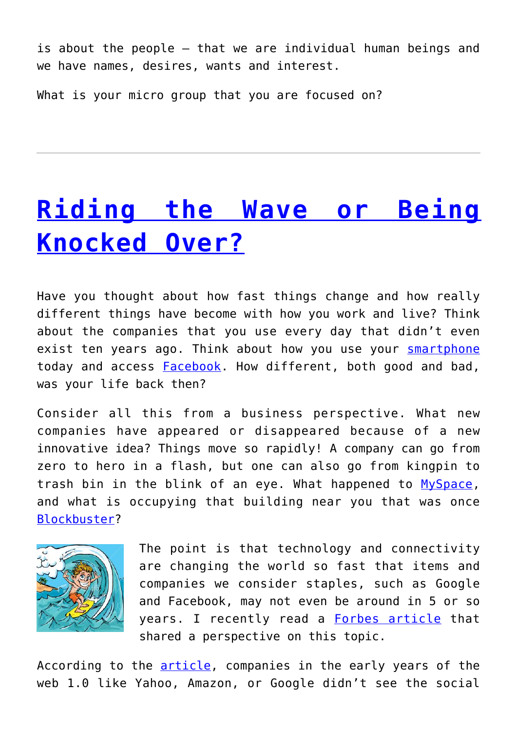is about the people – that we are individual human beings and we have names, desires, wants and interest.

What is your micro group that you are focused on?

### **[Riding the Wave or Being](http://anentrepreneurialjourney.com/riding-the-wave-or-being-knocked-over/) [Knocked Over?](http://anentrepreneurialjourney.com/riding-the-wave-or-being-knocked-over/)**

Have you thought about how fast things change and how really different things have become with how you work and live? Think about the companies that you use every day that didn't even exist ten years ago. Think about how you use your [smartphone](http://en.wikipedia.org/wiki/Smartphone) today and access **Facebook**. How different, both good and bad, was your life back then?

Consider all this from a business perspective. What new companies have appeared or disappeared because of a new innovative idea? Things move so rapidly! A company can go from zero to hero in a flash, but one can also go from kingpin to trash bin in the blink of an eye. What happened to [MySpace,](http://en.wikipedia.org/wiki/Myspace) and what is occupying that building near you that was once [Blockbuster?](http://en.wikipedia.org/wiki/Blockbuster_(company))



The point is that technology and connectivity are changing the world so fast that items and companies we consider staples, such as Google and Facebook, may not even be around in 5 or so years. I recently read a **[Forbes article](http://www.forbes.com/sites/ericjackson/2012/04/30/heres-why-google-and-facebook-might-completely-disappear-in-the-next-5-years/2/)** that shared a perspective on this topic.

According to the **article**, companies in the early years of the web 1.0 like Yahoo, Amazon, or Google didn't see the social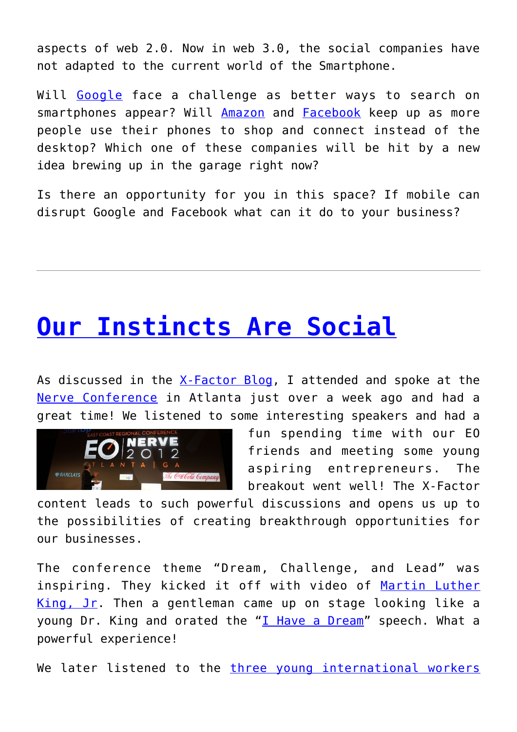aspects of web 2.0. Now in web 3.0, the social companies have not adapted to the current world of the Smartphone.

Will [Google](http://en.wikipedia.org/wiki/Google) face a challenge as better ways to search on smartphones appear? Will [Amazon](http://en.wikipedia.org/wiki/Amazon.com) and [Facebook](http://en.wikipedia.org/wiki/Facebook) keep up as more people use their phones to shop and connect instead of the desktop? Which one of these companies will be hit by a new idea brewing up in the garage right now?

Is there an opportunity for you in this space? If mobile can disrupt Google and Facebook what can it do to your business?

### **[Our Instincts Are Social](http://anentrepreneurialjourney.com/our-instincts-are-social/)**

As discussed in the [X-Factor Blog](http://efficience.us/greg/discovering-your-x-factor/), I attended and spoke at the [Nerve Conference](https://www.signup4.net/public/ap.aspx?EID=EONE10E&TID=P3dbjOcHgvzIdeLCOpUWuw%3d%3d) in Atlanta just over a week ago and had a great time! We listened to some interesting speakers and had a



fun spending time with our EO friends and meeting some young aspiring entrepreneurs. The breakout went well! The X-Factor

content leads to such powerful discussions and opens us up to the possibilities of creating breakthrough opportunities for our businesses.

The conference theme "Dream, Challenge, and Lead" was inspiring. They kicked it off with video of [Martin Luther](http://www.thekingcenter.org/about-dr-king) [King, Jr](http://www.thekingcenter.org/about-dr-king). Then a gentleman came up on stage looking like a young Dr. King and orated the " $I$  Have a Dream" speech. What a powerful experience!

We later listened to the [three young international workers](http://dsc.discovery.com/adventure/u-s-hikers-held-hostage-in-iran-for-more-than-two-years-finally-freed-for-1m.html)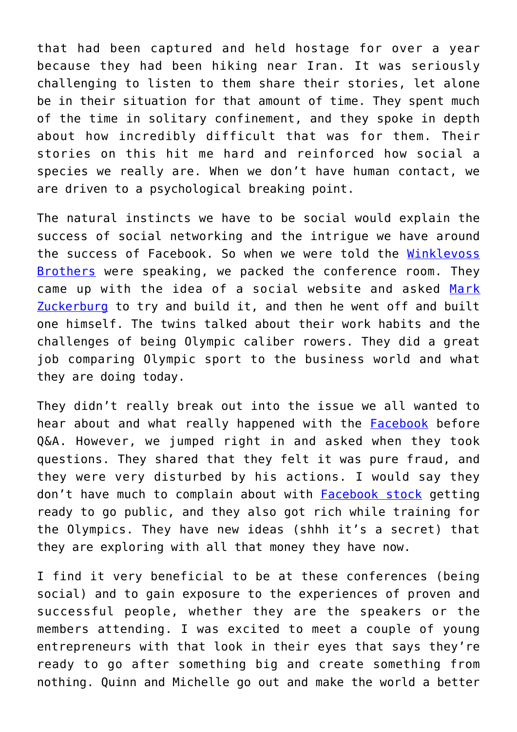that had been captured and held hostage for over a year because they had been hiking near Iran. It was seriously challenging to listen to them share their stories, let alone be in their situation for that amount of time. They spent much of the time in solitary confinement, and they spoke in depth about how incredibly difficult that was for them. Their stories on this hit me hard and reinforced how social a species we really are. When we don't have human contact, we are driven to a psychological breaking point.

The natural instincts we have to be social would explain the success of social networking and the intrigue we have around the success of Facebook. So when we were told the [Winklevoss](http://en.wikipedia.org/wiki/Winklevoss_twins) [Brothers](http://en.wikipedia.org/wiki/Winklevoss_twins) were speaking, we packed the conference room. They came up with the idea of a social website and asked [Mark](http://en.wikipedia.org/wiki/Mark_Zuckerberg) [Zuckerburg](http://en.wikipedia.org/wiki/Mark_Zuckerberg) to try and build it, and then he went off and built one himself. The twins talked about their work habits and the challenges of being Olympic caliber rowers. They did a great job comparing Olympic sport to the business world and what they are doing today.

They didn't really break out into the issue we all wanted to hear about and what really happened with the [Facebook](http://en.wikipedia.org/wiki/Facebook) before Q&A. However, we jumped right in and asked when they took questions. They shared that they felt it was pure fraud, and they were very disturbed by his actions. I would say they don't have much to complain about with [Facebook stock](http://online.wsj.com/article/SB10001424052970204879004577110780078310366.html) getting ready to go public, and they also got rich while training for the Olympics. They have new ideas (shhh it's a secret) that they are exploring with all that money they have now.

I find it very beneficial to be at these conferences (being social) and to gain exposure to the experiences of proven and successful people, whether they are the speakers or the members attending. I was excited to meet a couple of young entrepreneurs with that look in their eyes that says they're ready to go after something big and create something from nothing. Quinn and Michelle go out and make the world a better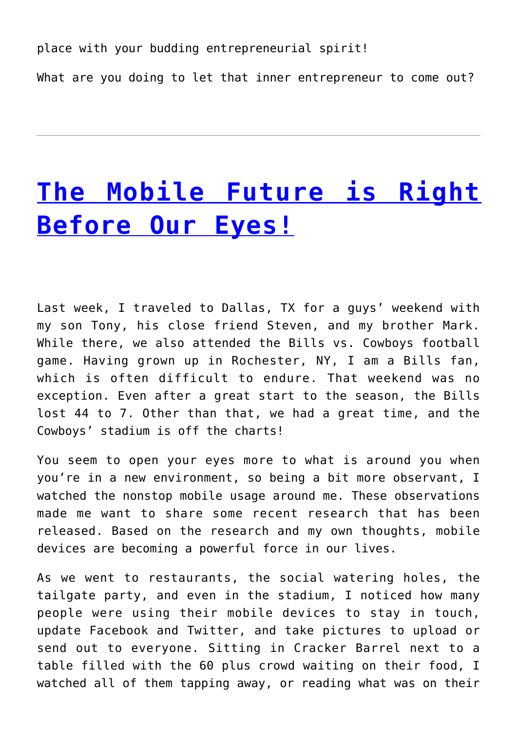place with your budding entrepreneurial spirit! What are you doing to let that inner entrepreneur to come out?

### **[The Mobile Future is Right](http://anentrepreneurialjourney.com/the-mobile-future-is-right-before-our-eyes/) [Before Our Eyes!](http://anentrepreneurialjourney.com/the-mobile-future-is-right-before-our-eyes/)**

Last week, I traveled to Dallas, TX for a guys' weekend with my son Tony, his close friend Steven, and my brother Mark. While there, we also attended the Bills vs. Cowboys football game. Having grown up in Rochester, NY, I am a Bills fan, which is often difficult to endure. That weekend was no exception. Even after a great start to the season, the Bills lost 44 to 7. Other than that, we had a great time, and the Cowboys' stadium is off the charts!

You seem to open your eyes more to what is around you when you're in a new environment, so being a bit more observant, I watched the nonstop mobile usage around me. These observations made me want to share some recent research that has been released. Based on the research and my own thoughts, mobile devices are becoming a powerful force in our lives.

As we went to restaurants, the social watering holes, the tailgate party, and even in the stadium, I noticed how many people were using their mobile devices to stay in touch, update Facebook and Twitter, and take pictures to upload or send out to everyone. Sitting in Cracker Barrel next to a table filled with the 60 plus crowd waiting on their food, I watched all of them tapping away, or reading what was on their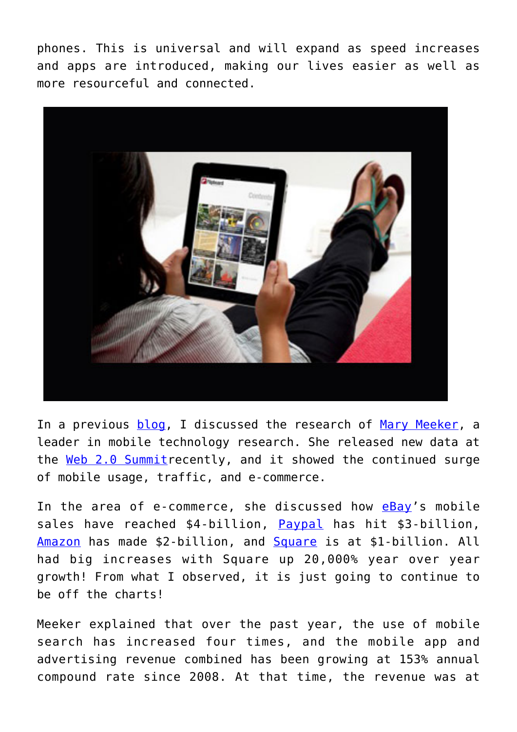phones. This is universal and will expand as speed increases and apps are introduced, making our lives easier as well as more resourceful and connected.



In a previous [blog,](http://efficience.us/greg/Mobile-Takeover) I discussed the research of [Mary Meeker](http://en.wikipedia.org/wiki/Mary_Meeker), a leader in mobile technology research. She released new data at the [Web 2.0 Summit](http://www.web2summit.com/web2011)recently, and it showed the continued surge of mobile usage, traffic, and e-commerce.

In the area of e-commerce, she discussed how [eBay](http://www.ebay.com/)'s mobile sales have reached \$4-billion, [Paypal](http://www.paypal.com/) has hit \$3-billion, [Amazon](http://www.amazon.com/) has made \$2-billion, and [Square](https://squareup.com/?gclid=CMae5tDpwawCFY2b7QodiWS4pQ) is at \$1-billion. All had big increases with Square up 20,000% year over year growth! From what I observed, it is just going to continue to be off the charts!

Meeker explained that over the past year, the use of mobile search has increased four times, and the mobile app and advertising revenue combined has been growing at 153% annual compound rate since 2008. At that time, the revenue was at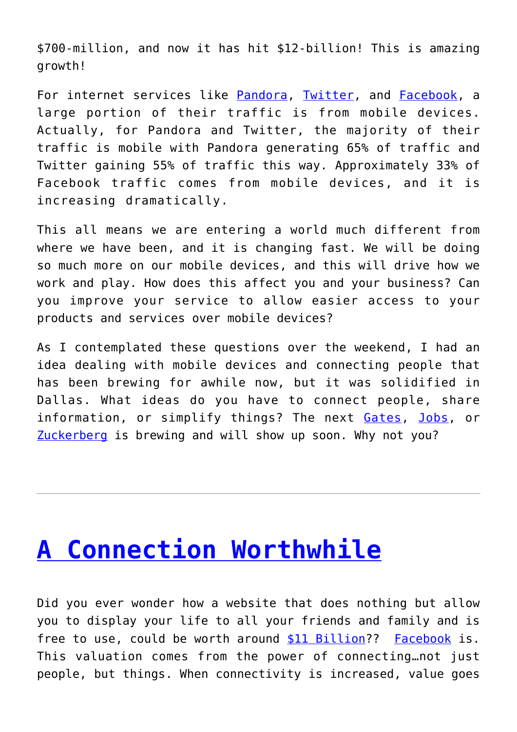\$700-million, and now it has hit \$12-billion! This is amazing growth!

For internet services like [Pandora](http://www.pandora.com/), [Twitter,](http://www.twitter.com/) and [Facebook,](http://www.facebook.com/) a large portion of their traffic is from mobile devices. Actually, for Pandora and Twitter, the majority of their traffic is mobile with Pandora generating 65% of traffic and Twitter gaining 55% of traffic this way. Approximately 33% of Facebook traffic comes from mobile devices, and it is increasing dramatically.

This all means we are entering a world much different from where we have been, and it is changing fast. We will be doing so much more on our mobile devices, and this will drive how we work and play. How does this affect you and your business? Can you improve your service to allow easier access to your products and services over mobile devices?

As I contemplated these questions over the weekend, I had an idea dealing with mobile devices and connecting people that has been brewing for awhile now, but it was solidified in Dallas. What ideas do you have to connect people, share information, or simplify things? The next [Gates,](http://www.microsoft.com/presspass/exec/billg/?tab=biography) [Jobs,](http://en.wikipedia.org/wiki/Steve_Jobs) or [Zuckerberg](http://en.wikipedia.org/wiki/Mark_Zuckerberg) is brewing and will show up soon. Why not you?

#### **[A Connection Worthwhile](http://anentrepreneurialjourney.com/a-connection-worthwhile/)**

Did you ever wonder how a website that does nothing but allow you to display your life to all your friends and family and is free to use, could be worth around [\\$11 Billion](http://www.forbes.com/forbes/2010/0118/outfront-facebook-shares-internet-friends-like-these.html)?? [Facebook](http://www.facebook.com/) is. This valuation comes from the power of connecting…not just people, but things. When connectivity is increased, value goes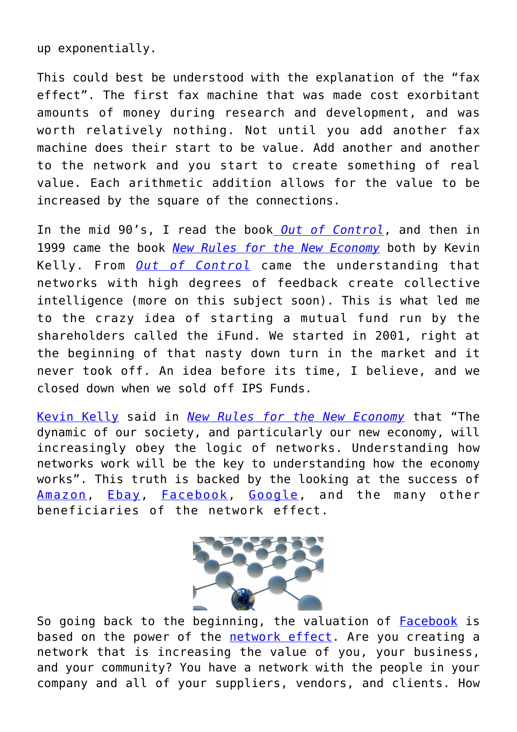up exponentially.

This could best be understood with the explanation of the "fax effect". The first fax machine that was made cost exorbitant amounts of money during research and development, and was worth relatively nothing. Not until you add another fax machine does their start to be value. Add another and another to the network and you start to create something of real value. Each arithmetic addition allows for the value to be increased by the square of the connections.

In the mid 90's, I read the book *[Out of Control](http://www.kk.org/books/out-of-control.php)*, and then in 1999 came the book *[New Rules for the New Economy](http://www.kk.org/books/new-rules-for-the-new-economy.php)* both by Kevin Kelly. From *[Out of Control](http://www.kk.org/books/out-of-control.php)* came the understanding that networks with high degrees of feedback create collective intelligence (more on this subject soon). This is what led me to the crazy idea of starting a mutual fund run by the shareholders called the iFund. We started in 2001, right at the beginning of that nasty down turn in the market and it never took off. An idea before its time, I believe, and we closed down when we sold off IPS Funds.

[Kevin Kelly](http://www.kk.org/) said in *[New Rules for the New Economy](http://www.kk.org/books/new-rules-for-the-new-economy.php)* that "The dynamic of our society, and particularly our new economy, will increasingly obey the logic of networks. Understanding how networks work will be the key to understanding how the economy works". This truth is backed by the looking at the success of [Amazon](http://www.amazon.com/), [Ebay](http://www.ebay.com/), [Facebook,](http://www.facebook.com/) [Google](http://www.google.com/), and the many other beneficiaries of the network effect.



So going back to the beginning, the valuation of [Facebook](http://www.facebook.com/) is based on the power of the [network effect.](http://en.wikipedia.org/wiki/Network_effect) Are you creating a network that is increasing the value of you, your business, and your community? You have a network with the people in your company and all of your suppliers, vendors, and clients. How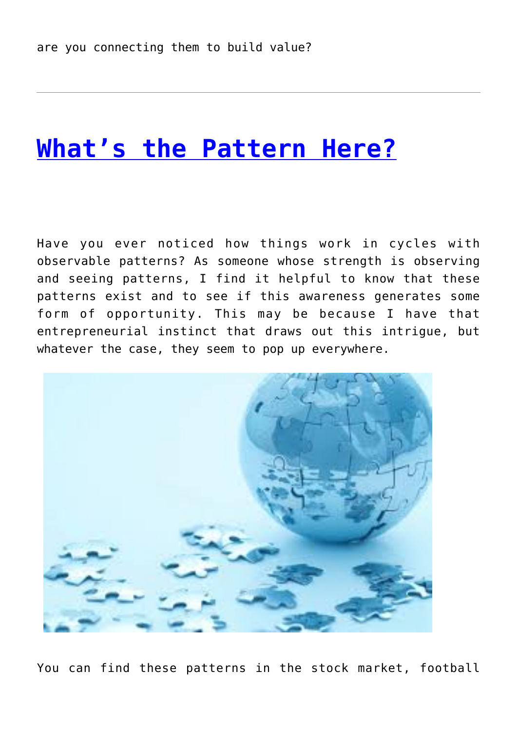#### **[What's the Pattern Here?](http://anentrepreneurialjourney.com/whats-the-pattern-here/)**

Have you ever noticed how things work in cycles with observable patterns? As someone whose strength is observing and seeing patterns, I find it helpful to know that these patterns exist and to see if this awareness generates some form of opportunity. This may be because I have that entrepreneurial instinct that draws out this intrigue, but whatever the case, they seem to pop up everywhere.



You can find these patterns in the stock market, football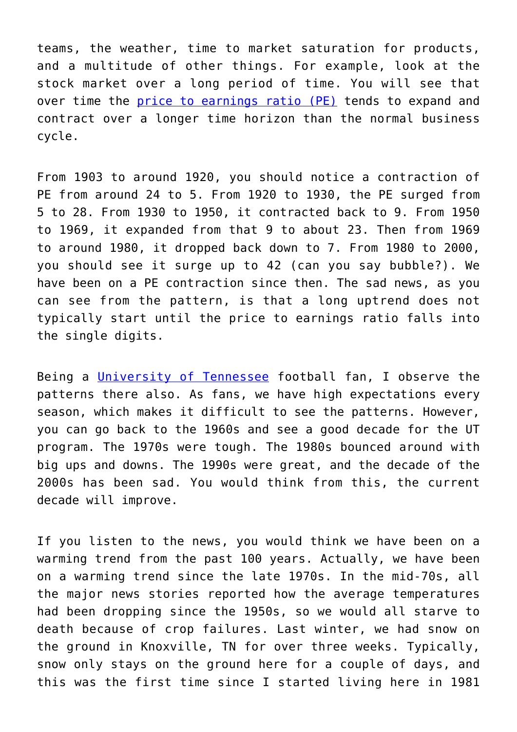teams, the weather, time to market saturation for products, and a multitude of other things. For example, look at the stock market over a long period of time. You will see that over time the [price to earnings ratio \(PE\)](http://en.wikipedia.org/wiki/P/E_ratio) tends to expand and contract over a longer time horizon than the normal business cycle.

From 1903 to around 1920, you should notice a contraction of PE from around 24 to 5. From 1920 to 1930, the PE surged from 5 to 28. From 1930 to 1950, it contracted back to 9. From 1950 to 1969, it expanded from that 9 to about 23. Then from 1969 to around 1980, it dropped back down to 7. From 1980 to 2000, you should see it surge up to 42 (can you say bubble?). We have been on a PE contraction since then. The sad news, as you can see from the pattern, is that a long uptrend does not typically start until the price to earnings ratio falls into the single digits.

Being a [University of Tennessee](http://www.utsports.com/sports/m-footbl/tenn-m-footbl-body.html) football fan, I observe the patterns there also. As fans, we have high expectations every season, which makes it difficult to see the patterns. However, you can go back to the 1960s and see a good decade for the UT program. The 1970s were tough. The 1980s bounced around with big ups and downs. The 1990s were great, and the decade of the 2000s has been sad. You would think from this, the current decade will improve.

If you listen to the news, you would think we have been on a warming trend from the past 100 years. Actually, we have been on a warming trend since the late 1970s. In the mid-70s, all the major news stories reported how the average temperatures had been dropping since the 1950s, so we would all starve to death because of crop failures. Last winter, we had snow on the ground in Knoxville, TN for over three weeks. Typically, snow only stays on the ground here for a couple of days, and this was the first time since I started living here in 1981